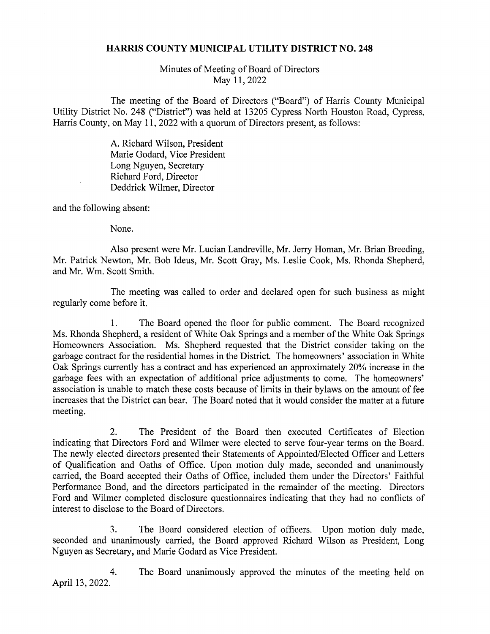## HARRIS COUNTY MUNICIPAL UTILITY DISTRICT NO. 248

Minutes of Meeting of Board of Directors May 11, 2022

The meeting of the Board of Directors ("Board") of Harris County Municipal Utility District No. 248 ("District") was held at 13205 Cypress North Houston Road, Cypress, Harris County, on May 11, 2022 with a quorum of Directors present, as follows:

> A. Richard Wilson, President Marie Godard, Vice President Long Nguyen, Secretary Richard Ford, Director Deddrick Wilmer, Director

and the following absent:

None.

Also present were Mr. Lucian Landreville, Mr. Jerry Homan, Mr. Brian Breeding, Mr. Patrick Newton, Mr. Bob Ideus, Mr. Scott Gray, Ms. Leslie Cook, Ms. Rhonda Shepherd, and Mr. Wm. Scott Smith.

The meeting was called to order and declared open for such business as might regularly come before it.

1. The Board opened the floor for public comment. The Board recognized Ms. Rhonda Shepherd, a resident of White Oak Springs and a member of the White Oak Springs Homeowners Association. Ms. Shepherd requested that the District consider taking on the garbage contract for the residential homes in the District. The homeowners' association in White Oak Springs currently has a contract and has experienced an approximately 20% increase in the garbage fees with an expectation of additional price adjustments to come. The homeowners' association is unable to match these costs because of limits in their bylaws on the amount of fee increases that the District can bear. The Board noted that it would consider the matter at a future meeting.

2. The President of the Board then executed Certificates of Election indicating that Directors Ford and Wilmer were elected to serve four-year terms on the Board. The newly elected directors presented their Statements of Appointed/Elected Officer and Letters of Qualification and Oaths of Office. Upon motion duly made, seconded and unanimously carried, the Board accepted their Oaths of Office, included them under the Directors' Faithful Performance Bond, and the directors participated in the remainder of the meeting. Directors Ford and Wilmer completed disclosure questionnaires indicating that they had no conflicts of interest to disclose to the Board of Directors.

3. The Board considered election of officers. Upon motion duly made, seconded and unanimously carried, the Board approved Richard Wilson as President, Long Nguyen as Secretary, and Marie Godard as Vice President.

4. The Board unanimously approved the minutes of the meeting held on April 13, 2022.